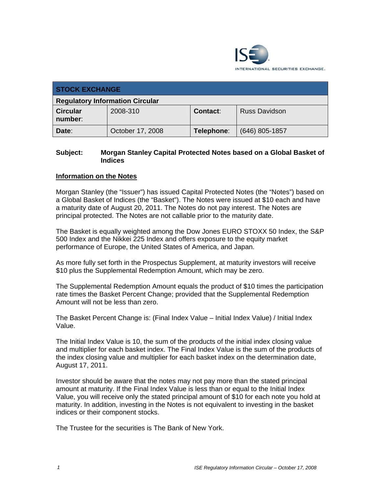

| <b>STOCK EXCHANGE</b>                  |                  |            |                      |  |  |
|----------------------------------------|------------------|------------|----------------------|--|--|
| <b>Regulatory Information Circular</b> |                  |            |                      |  |  |
| <b>Circular</b><br>number:             | 2008-310         | Contact:   | <b>Russ Davidson</b> |  |  |
| Date:                                  | October 17, 2008 | Telephone: | $(646)$ 805-1857     |  |  |

## **Subject: Morgan Stanley Capital Protected Notes based on a Global Basket of Indices**

## **Information on the Notes**

Morgan Stanley (the "Issuer") has issued Capital Protected Notes (the "Notes") based on a Global Basket of Indices (the "Basket"). The Notes were issued at \$10 each and have a maturity date of August 20, 2011. The Notes do not pay interest. The Notes are principal protected. The Notes are not callable prior to the maturity date.

The Basket is equally weighted among the Dow Jones EURO STOXX 50 Index, the S&P 500 Index and the Nikkei 225 Index and offers exposure to the equity market performance of Europe, the United States of America, and Japan.

As more fully set forth in the Prospectus Supplement, at maturity investors will receive \$10 plus the Supplemental Redemption Amount, which may be zero.

The Supplemental Redemption Amount equals the product of \$10 times the participation rate times the Basket Percent Change; provided that the Supplemental Redemption Amount will not be less than zero.

The Basket Percent Change is: (Final Index Value – Initial Index Value) / Initial Index Value.

The Initial Index Value is 10, the sum of the products of the initial index closing value and multiplier for each basket index. The Final Index Value is the sum of the products of the index closing value and multiplier for each basket index on the determination date, August 17, 2011.

Investor should be aware that the notes may not pay more than the stated principal amount at maturity. If the Final Index Value is less than or equal to the Initial Index Value, you will receive only the stated principal amount of \$10 for each note you hold at maturity. In addition, investing in the Notes is not equivalent to investing in the basket indices or their component stocks.

The Trustee for the securities is The Bank of New York.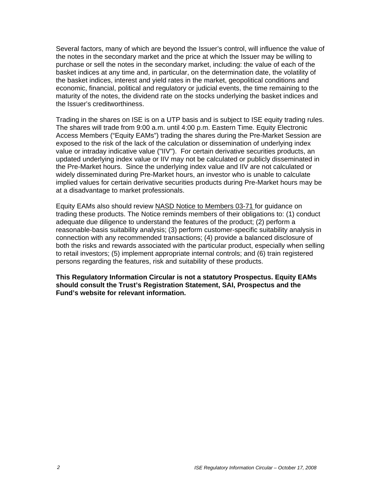Several factors, many of which are beyond the Issuer's control, will influence the value of the notes in the secondary market and the price at which the Issuer may be willing to purchase or sell the notes in the secondary market, including: the value of each of the basket indices at any time and, in particular, on the determination date, the volatility of the basket indices, interest and yield rates in the market, geopolitical conditions and economic, financial, political and regulatory or judicial events, the time remaining to the maturity of the notes, the dividend rate on the stocks underlying the basket indices and the Issuer's creditworthiness.

Trading in the shares on ISE is on a UTP basis and is subject to ISE equity trading rules. The shares will trade from 9:00 a.m. until 4:00 p.m. Eastern Time. Equity Electronic Access Members ("Equity EAMs") trading the shares during the Pre-Market Session are exposed to the risk of the lack of the calculation or dissemination of underlying index value or intraday indicative value ("IIV"). For certain derivative securities products, an updated underlying index value or IIV may not be calculated or publicly disseminated in the Pre-Market hours. Since the underlying index value and IIV are not calculated or widely disseminated during Pre-Market hours, an investor who is unable to calculate implied values for certain derivative securities products during Pre-Market hours may be at a disadvantage to market professionals.

Equity EAMs also should review NASD Notice to Members 03-71 for guidance on trading these products. The Notice reminds members of their obligations to: (1) conduct adequate due diligence to understand the features of the product; (2) perform a reasonable-basis suitability analysis; (3) perform customer-specific suitability analysis in connection with any recommended transactions; (4) provide a balanced disclosure of both the risks and rewards associated with the particular product, especially when selling to retail investors; (5) implement appropriate internal controls; and (6) train registered persons regarding the features, risk and suitability of these products.

**This Regulatory Information Circular is not a statutory Prospectus. Equity EAMs should consult the Trust's Registration Statement, SAI, Prospectus and the Fund's website for relevant information.**